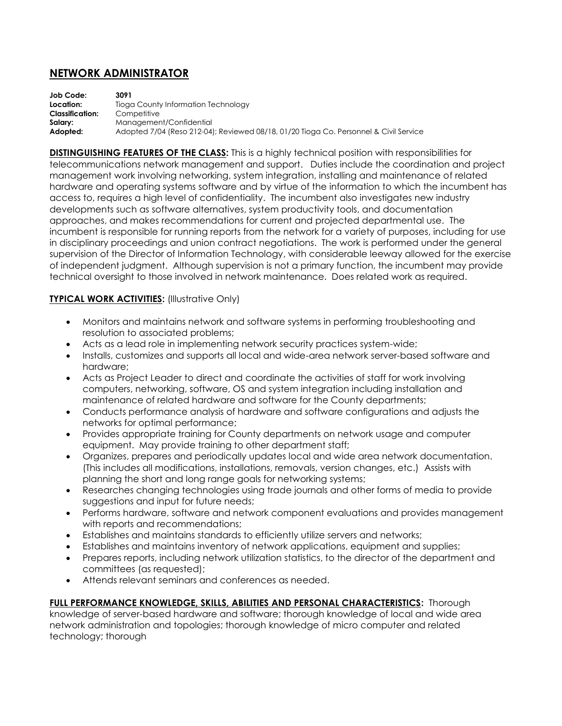# **NETWORK ADMINISTRATOR**

| Job Code:              | 3091                                                                                  |
|------------------------|---------------------------------------------------------------------------------------|
| Location:              | Tioga County Information Technology                                                   |
| <b>Classification:</b> | Competitive                                                                           |
| Salary:                | Management/Confidential                                                               |
| Adopted:               | Adopted 7/04 (Reso 212-04); Reviewed 08/18, 01/20 Tioga Co. Personnel & Civil Service |

**DISTINGUISHING FEATURES OF THE CLASS:** This is a highly technical position with responsibilities for telecommunications network management and support. Duties include the coordination and project management work involving networking, system integration, installing and maintenance of related hardware and operating systems software and by virtue of the information to which the incumbent has access to, requires a high level of confidentiality. The incumbent also investigates new industry developments such as software alternatives, system productivity tools, and documentation approaches, and makes recommendations for current and projected departmental use. The incumbent is responsible for running reports from the network for a variety of purposes, including for use in disciplinary proceedings and union contract negotiations. The work is performed under the general supervision of the Director of Information Technology, with considerable leeway allowed for the exercise of independent judgment. Although supervision is not a primary function, the incumbent may provide technical oversight to those involved in network maintenance. Does related work as required.

## **TYPICAL WORK ACTIVITIES:** (Illustrative Only)

- Monitors and maintains network and software systems in performing troubleshooting and resolution to associated problems;
- Acts as a lead role in implementing network security practices system-wide;
- Installs, customizes and supports all local and wide-area network server-based software and hardware;
- Acts as Project Leader to direct and coordinate the activities of staff for work involving computers, networking, software, OS and system integration including installation and maintenance of related hardware and software for the County departments;
- Conducts performance analysis of hardware and software configurations and adjusts the networks for optimal performance;
- Provides appropriate training for County departments on network usage and computer equipment. May provide training to other department staff;
- Organizes, prepares and periodically updates local and wide area network documentation. (This includes all modifications, installations, removals, version changes, etc.) Assists with planning the short and long range goals for networking systems;
- Researches changing technologies using trade journals and other forms of media to provide suggestions and input for future needs;
- Performs hardware, software and network component evaluations and provides management with reports and recommendations;
- Establishes and maintains standards to efficiently utilize servers and networks;
- Establishes and maintains inventory of network applications, equipment and supplies;
- Prepares reports, including network utilization statistics, to the director of the department and committees (as requested);
- Attends relevant seminars and conferences as needed.

## **FULL PERFORMANCE KNOWLEDGE, SKILLS, ABILITIES AND PERSONAL CHARACTERISTICS:** Thorough

knowledge of server-based hardware and software; thorough knowledge of local and wide area network administration and topologies; thorough knowledge of micro computer and related technology; thorough